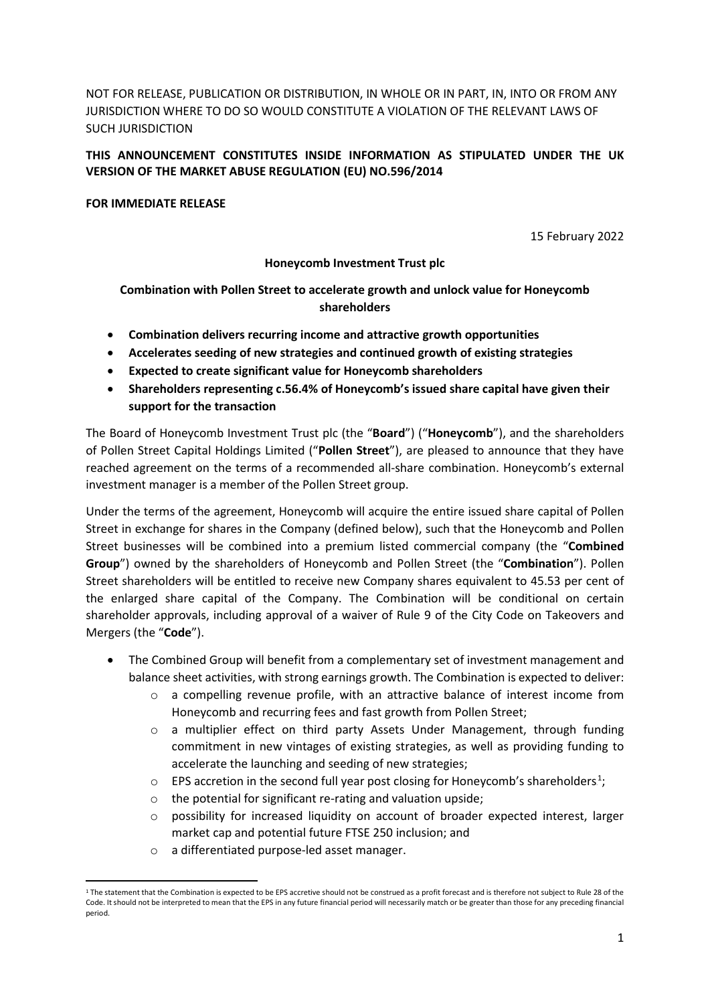NOT FOR RELEASE, PUBLICATION OR DISTRIBUTION, IN WHOLE OR IN PART, IN, INTO OR FROM ANY JURISDICTION WHERE TO DO SO WOULD CONSTITUTE A VIOLATION OF THE RELEVANT LAWS OF SUCH JURISDICTION

# **THIS ANNOUNCEMENT CONSTITUTES INSIDE INFORMATION AS STIPULATED UNDER THE UK VERSION OF THE MARKET ABUSE REGULATION (EU) NO.596/2014**

## **FOR IMMEDIATE RELEASE**

15 February 2022

## **Honeycomb Investment Trust plc**

# **Combination with Pollen Street to accelerate growth and unlock value for Honeycomb shareholders**

- **Combination delivers recurring income and attractive growth opportunities**
- **Accelerates seeding of new strategies and continued growth of existing strategies**
- **Expected to create significant value for Honeycomb shareholders**
- **Shareholders representing c.56.4% of Honeycomb's issued share capital have given their support for the transaction**

The Board of Honeycomb Investment Trust plc (the "**Board**") ("**Honeycomb**"), and the shareholders of Pollen Street Capital Holdings Limited ("**Pollen Street**"), are pleased to announce that they have reached agreement on the terms of a recommended all-share combination. Honeycomb's external investment manager is a member of the Pollen Street group.

Under the terms of the agreement, Honeycomb will acquire the entire issued share capital of Pollen Street in exchange for shares in the Company (defined below), such that the Honeycomb and Pollen Street businesses will be combined into a premium listed commercial company (the "**Combined Group**") owned by the shareholders of Honeycomb and Pollen Street (the "**Combination**"). Pollen Street shareholders will be entitled to receive new Company shares equivalent to 45.53 per cent of the enlarged share capital of the Company. The Combination will be conditional on certain shareholder approvals, including approval of a waiver of Rule 9 of the City Code on Takeovers and Mergers (the "**Code**").

- The Combined Group will benefit from a complementary set of investment management and balance sheet activities, with strong earnings growth. The Combination is expected to deliver:
	- $\circ$  a compelling revenue profile, with an attractive balance of interest income from Honeycomb and recurring fees and fast growth from Pollen Street;
	- o a multiplier effect on third party Assets Under Management, through funding commitment in new vintages of existing strategies, as well as providing funding to accelerate the launching and seeding of new strategies;
	- $\circ$  EPS accretion in the second full year post closing for Honeycomb's shareholders.<sup>1</sup>;
	- o the potential for significant re-rating and valuation upside;
	- o possibility for increased liquidity on account of broader expected interest, larger market cap and potential future FTSE 250 inclusion; and
	- o a differentiated purpose-led asset manager.

<sup>&</sup>lt;sup>1</sup> The statement that the Combination is expected to be EPS accretive should not be construed as a profit forecast and is therefore not subject to Rule 28 of the Code. It should not be interpreted to mean that the EPS in any future financial period will necessarily match or be greater than those for any preceding financial period.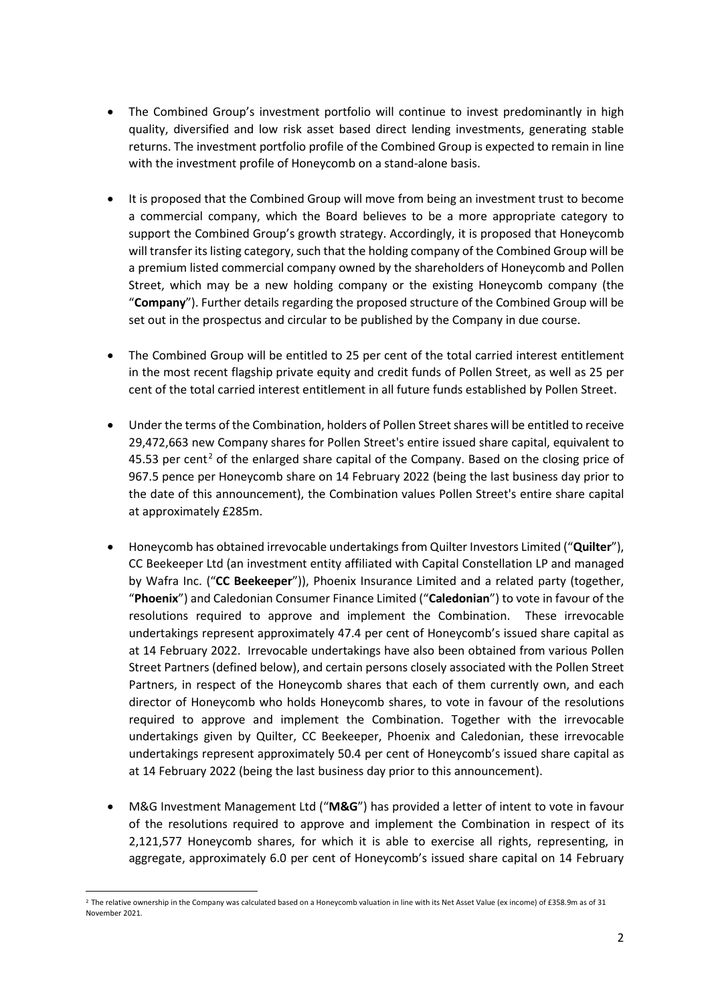- The Combined Group's investment portfolio will continue to invest predominantly in high quality, diversified and low risk asset based direct lending investments, generating stable returns. The investment portfolio profile of the Combined Group is expected to remain in line with the investment profile of Honeycomb on a stand-alone basis.
- It is proposed that the Combined Group will move from being an investment trust to become a commercial company, which the Board believes to be a more appropriate category to support the Combined Group's growth strategy. Accordingly, it is proposed that Honeycomb will transfer its listing category, such that the holding company of the Combined Group will be a premium listed commercial company owned by the shareholders of Honeycomb and Pollen Street, which may be a new holding company or the existing Honeycomb company (the "**Company**"). Further details regarding the proposed structure of the Combined Group will be set out in the prospectus and circular to be published by the Company in due course.
- The Combined Group will be entitled to 25 per cent of the total carried interest entitlement in the most recent flagship private equity and credit funds of Pollen Street, as well as 25 per cent of the total carried interest entitlement in all future funds established by Pollen Street.
- Under the terms of the Combination, holders of Pollen Street shares will be entitled to receive 29,472,663 new Company shares for Pollen Street's entire issued share capital, equivalent to 45.53 per cent<sup>2</sup> of the enlarged share capital of the Company. Based on the closing price of 967.5 pence per Honeycomb share on 14 February 2022 (being the last business day prior to the date of this announcement), the Combination values Pollen Street's entire share capital at approximately £285m.
- Honeycomb has obtained irrevocable undertakings from Quilter Investors Limited ("**Quilter**"), CC Beekeeper Ltd (an investment entity affiliated with Capital Constellation LP and managed by Wafra Inc. ("**CC Beekeeper**")), Phoenix Insurance Limited and a related party (together, "**Phoenix**") and Caledonian Consumer Finance Limited ("**Caledonian**") to vote in favour of the resolutions required to approve and implement the Combination. These irrevocable undertakings represent approximately 47.4 per cent of Honeycomb's issued share capital as at 14 February 2022. Irrevocable undertakings have also been obtained from various Pollen Street Partners (defined below), and certain persons closely associated with the Pollen Street Partners, in respect of the Honeycomb shares that each of them currently own, and each director of Honeycomb who holds Honeycomb shares, to vote in favour of the resolutions required to approve and implement the Combination. Together with the irrevocable undertakings given by Quilter, CC Beekeeper, Phoenix and Caledonian, these irrevocable undertakings represent approximately 50.4 per cent of Honeycomb's issued share capital as at 14 February 2022 (being the last business day prior to this announcement).
- M&G Investment Management Ltd ("**M&G**") has provided a letter of intent to vote in favour of the resolutions required to approve and implement the Combination in respect of its 2,121,577 Honeycomb shares, for which it is able to exercise all rights, representing, in aggregate, approximately 6.0 per cent of Honeycomb's issued share capital on 14 February

<sup>&</sup>lt;sup>2</sup> The relative ownership in the Company was calculated based on a Honeycomb valuation in line with its Net Asset Value (ex income) of £358.9m as of 31 November 2021.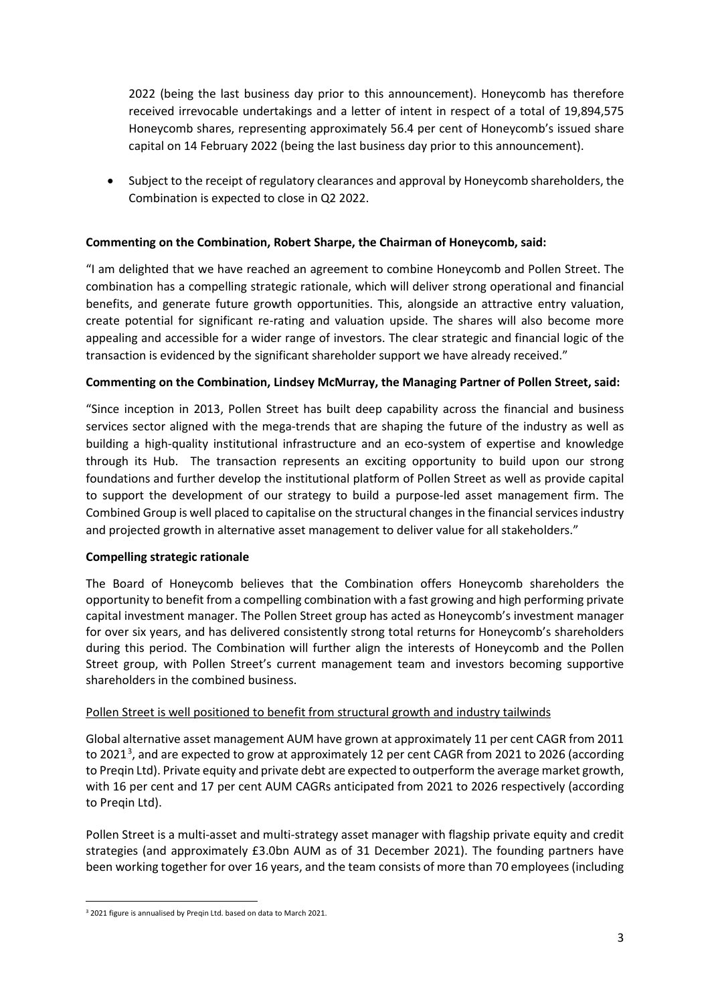2022 (being the last business day prior to this announcement). Honeycomb has therefore received irrevocable undertakings and a letter of intent in respect of a total of 19,894,575 Honeycomb shares, representing approximately 56.4 per cent of Honeycomb's issued share capital on 14 February 2022 (being the last business day prior to this announcement).

• Subject to the receipt of regulatory clearances and approval by Honeycomb shareholders, the Combination is expected to close in Q2 2022.

# **Commenting on the Combination, Robert Sharpe, the Chairman of Honeycomb, said:**

"I am delighted that we have reached an agreement to combine Honeycomb and Pollen Street. The combination has a compelling strategic rationale, which will deliver strong operational and financial benefits, and generate future growth opportunities. This, alongside an attractive entry valuation, create potential for significant re-rating and valuation upside. The shares will also become more appealing and accessible for a wider range of investors. The clear strategic and financial logic of the transaction is evidenced by the significant shareholder support we have already received."

## **Commenting on the Combination, Lindsey McMurray, the Managing Partner of Pollen Street, said:**

"Since inception in 2013, Pollen Street has built deep capability across the financial and business services sector aligned with the mega-trends that are shaping the future of the industry as well as building a high-quality institutional infrastructure and an eco-system of expertise and knowledge through its Hub. The transaction represents an exciting opportunity to build upon our strong foundations and further develop the institutional platform of Pollen Street as well as provide capital to support the development of our strategy to build a purpose-led asset management firm. The Combined Group is well placed to capitalise on the structural changes in the financial services industry and projected growth in alternative asset management to deliver value for all stakeholders."

## **Compelling strategic rationale**

The Board of Honeycomb believes that the Combination offers Honeycomb shareholders the opportunity to benefit from a compelling combination with a fast growing and high performing private capital investment manager. The Pollen Street group has acted as Honeycomb's investment manager for over six years, and has delivered consistently strong total returns for Honeycomb's shareholders during this period. The Combination will further align the interests of Honeycomb and the Pollen Street group, with Pollen Street's current management team and investors becoming supportive shareholders in the combined business.

## Pollen Street is well positioned to benefit from structural growth and industry tailwinds

Global alternative asset management AUM have grown at approximately 11 per cent CAGR from 2011 to 2021<sup>3</sup>, and are expected to grow at approximately 12 per cent CAGR from 2021 to 2026 (according to Preqin Ltd). Private equity and private debt are expected to outperform the average market growth, with 16 per cent and 17 per cent AUM CAGRs anticipated from 2021 to 2026 respectively (according to Preqin Ltd).

Pollen Street is a multi-asset and multi-strategy asset manager with flagship private equity and credit strategies (and approximately £3.0bn AUM as of 31 December 2021). The founding partners have been working together for over 16 years, and the team consists of more than 70 employees (including

 <sup>3</sup> 2021 figure is annualised by Preqin Ltd. based on data to March 2021.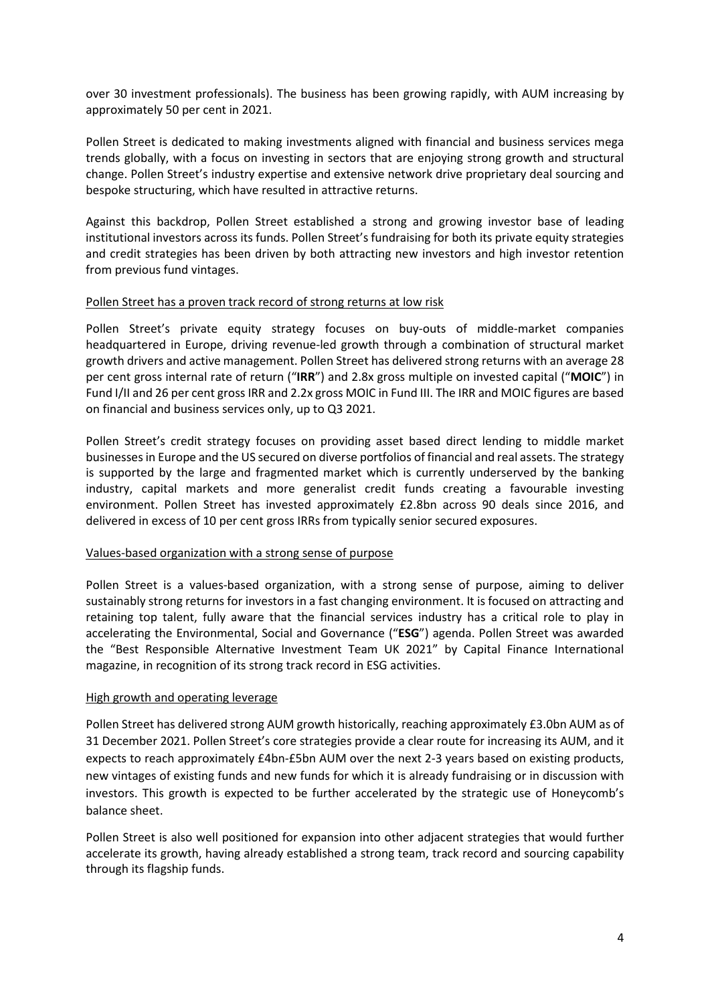over 30 investment professionals). The business has been growing rapidly, with AUM increasing by approximately 50 per cent in 2021.

Pollen Street is dedicated to making investments aligned with financial and business services mega trends globally, with a focus on investing in sectors that are enjoying strong growth and structural change. Pollen Street's industry expertise and extensive network drive proprietary deal sourcing and bespoke structuring, which have resulted in attractive returns.

Against this backdrop, Pollen Street established a strong and growing investor base of leading institutional investors across its funds. Pollen Street's fundraising for both its private equity strategies and credit strategies has been driven by both attracting new investors and high investor retention from previous fund vintages.

#### Pollen Street has a proven track record of strong returns at low risk

Pollen Street's private equity strategy focuses on buy-outs of middle-market companies headquartered in Europe, driving revenue-led growth through a combination of structural market growth drivers and active management. Pollen Street has delivered strong returns with an average 28 per cent gross internal rate of return ("**IRR**") and 2.8x gross multiple on invested capital ("**MOIC**") in Fund I/II and 26 per cent gross IRR and 2.2x gross MOIC in Fund III. The IRR and MOIC figures are based on financial and business services only, up to Q3 2021.

Pollen Street's credit strategy focuses on providing asset based direct lending to middle market businesses in Europe and the US secured on diverse portfolios of financial and real assets. The strategy is supported by the large and fragmented market which is currently underserved by the banking industry, capital markets and more generalist credit funds creating a favourable investing environment. Pollen Street has invested approximately £2.8bn across 90 deals since 2016, and delivered in excess of 10 per cent gross IRRs from typically senior secured exposures.

## Values-based organization with a strong sense of purpose

Pollen Street is a values-based organization, with a strong sense of purpose, aiming to deliver sustainably strong returns for investors in a fast changing environment. It is focused on attracting and retaining top talent, fully aware that the financial services industry has a critical role to play in accelerating the Environmental, Social and Governance ("**ESG**") agenda. Pollen Street was awarded the "Best Responsible Alternative Investment Team UK 2021" by Capital Finance International magazine, in recognition of its strong track record in ESG activities.

## High growth and operating leverage

Pollen Street has delivered strong AUM growth historically, reaching approximately £3.0bn AUM as of 31 December 2021. Pollen Street's core strategies provide a clear route for increasing its AUM, and it expects to reach approximately £4bn-£5bn AUM over the next 2-3 years based on existing products, new vintages of existing funds and new funds for which it is already fundraising or in discussion with investors. This growth is expected to be further accelerated by the strategic use of Honeycomb's balance sheet.

Pollen Street is also well positioned for expansion into other adjacent strategies that would further accelerate its growth, having already established a strong team, track record and sourcing capability through its flagship funds.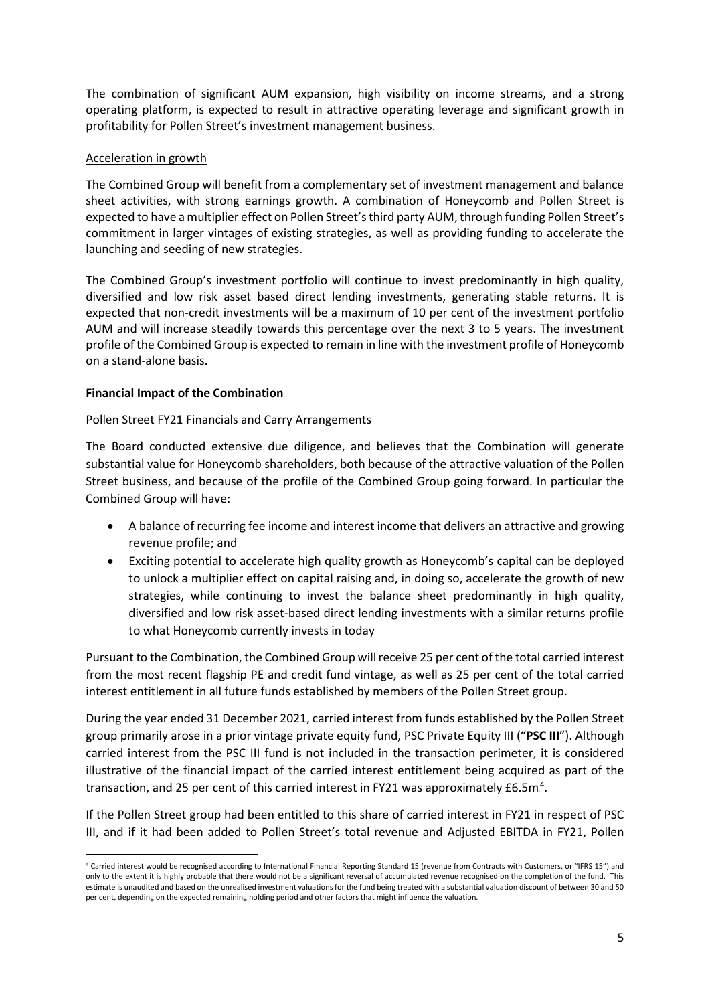The combination of significant AUM expansion, high visibility on income streams, and a strong operating platform, is expected to result in attractive operating leverage and significant growth in profitability for Pollen Street's investment management business.

# Acceleration in growth

The Combined Group will benefit from a complementary set of investment management and balance sheet activities, with strong earnings growth. A combination of Honeycomb and Pollen Street is expected to have a multiplier effect on Pollen Street's third party AUM, through funding Pollen Street's commitment in larger vintages of existing strategies, as well as providing funding to accelerate the launching and seeding of new strategies.

The Combined Group's investment portfolio will continue to invest predominantly in high quality, diversified and low risk asset based direct lending investments, generating stable returns. It is expected that non-credit investments will be a maximum of 10 per cent of the investment portfolio AUM and will increase steadily towards this percentage over the next 3 to 5 years. The investment profile of the Combined Group is expected to remain in line with the investment profile of Honeycomb on a stand-alone basis.

# **Financial Impact of the Combination**

# Pollen Street FY21 Financials and Carry Arrangements

The Board conducted extensive due diligence, and believes that the Combination will generate substantial value for Honeycomb shareholders, both because of the attractive valuation of the Pollen Street business, and because of the profile of the Combined Group going forward. In particular the Combined Group will have:

- A balance of recurring fee income and interest income that delivers an attractive and growing revenue profile; and
- Exciting potential to accelerate high quality growth as Honeycomb's capital can be deployed to unlock a multiplier effect on capital raising and, in doing so, accelerate the growth of new strategies, while continuing to invest the balance sheet predominantly in high quality, diversified and low risk asset-based direct lending investments with a similar returns profile to what Honeycomb currently invests in today

Pursuant to the Combination, the Combined Group will receive 25 per cent of the total carried interest from the most recent flagship PE and credit fund vintage, as well as 25 per cent of the total carried interest entitlement in all future funds established by members of the Pollen Street group.

During the year ended 31 December 2021, carried interest from funds established by the Pollen Street group primarily arose in a prior vintage private equity fund, PSC Private Equity III ("**PSC III**"). Although carried interest from the PSC III fund is not included in the transaction perimeter, it is considered illustrative of the financial impact of the carried interest entitlement being acquired as part of the transaction, and 25 per cent of this carried interest in FY21 was approximately £6.5m.<sup>4</sup>.

If the Pollen Street group had been entitled to this share of carried interest in FY21 in respect of PSC III, and if it had been added to Pollen Street's total revenue and Adjusted EBITDA in FY21, Pollen

 <sup>4</sup> Carried interest would be recognised according to International Financial Reporting Standard 15 (revenue from Contracts with Customers, or "IFRS 15") and only to the extent it is highly probable that there would not be a significant reversal of accumulated revenue recognised on the completion of the fund. This estimate is unaudited and based on the unrealised investment valuations for the fund being treated with a substantial valuation discount of between 30 and 50 per cent, depending on the expected remaining holding period and other factors that might influence the valuation.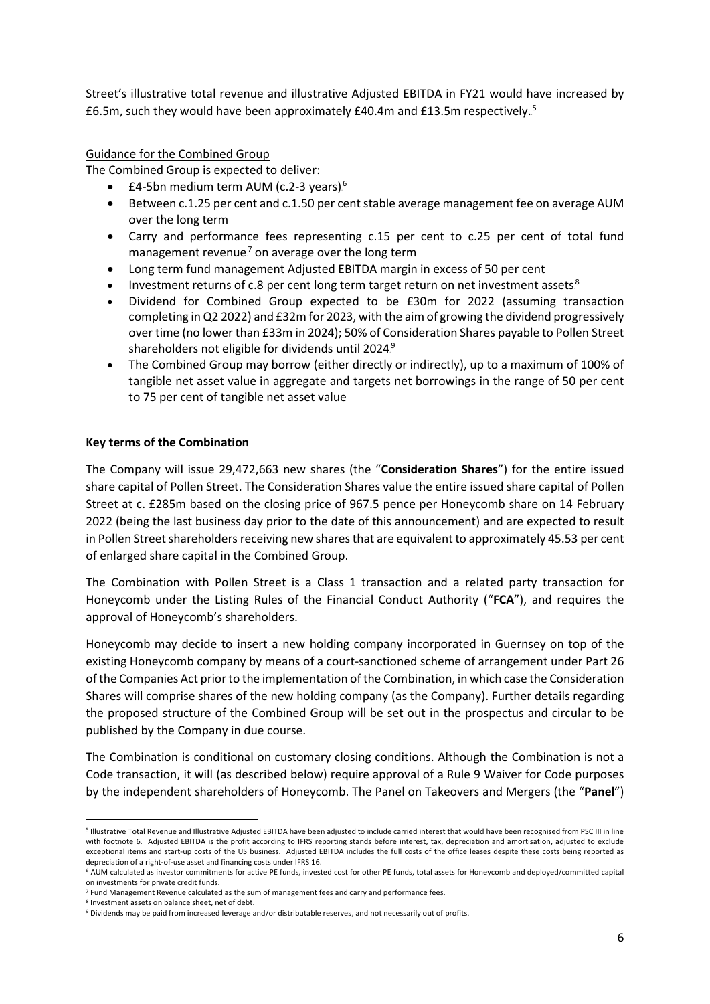Street's illustrative total revenue and illustrative Adjusted EBITDA in FY21 would have increased by £6.5m, such they would have been approximately £40.4m and £13.5m respectively.<sup>5</sup>

## Guidance for the Combined Group

The Combined Group is expected to deliver:

- £4-5bn medium term AUM (c.2-3 years)<sup>6</sup>
- Between c.1.25 per cent and c.1.50 per cent stable average management fee on average AUM over the long term
- Carry and performance fees representing c.15 per cent to c.25 per cent of total fund management revenue<sup>7</sup> on average over the long term
- Long term fund management Adjusted EBITDA margin in excess of 50 per cent
- Investment returns of c.8 per cent long term target return on net investment assets ${}^{8}$
- Dividend for Combined Group expected to be £30m for 2022 (assuming transaction completing in Q2 2022) and £32m for 2023, with the aim of growing the dividend progressively over time (no lower than £33m in 2024); 50% of Consideration Shares payable to Pollen Street shareholders not eligible for dividends until 2024.<sup>9</sup>
- The Combined Group may borrow (either directly or indirectly), up to a maximum of 100% of tangible net asset value in aggregate and targets net borrowings in the range of 50 per cent to 75 per cent of tangible net asset value

# **Key terms of the Combination**

The Company will issue 29,472,663 new shares (the "**Consideration Shares**") for the entire issued share capital of Pollen Street. The Consideration Shares value the entire issued share capital of Pollen Street at c. £285m based on the closing price of 967.5 pence per Honeycomb share on 14 February 2022 (being the last business day prior to the date of this announcement) and are expected to result in Pollen Street shareholders receiving new shares that are equivalent to approximately 45.53 per cent of enlarged share capital in the Combined Group.

The Combination with Pollen Street is a Class 1 transaction and a related party transaction for Honeycomb under the Listing Rules of the Financial Conduct Authority ("**FCA**"), and requires the approval of Honeycomb's shareholders.

Honeycomb may decide to insert a new holding company incorporated in Guernsey on top of the existing Honeycomb company by means of a court-sanctioned scheme of arrangement under Part 26 of the Companies Act prior to the implementation of the Combination, in which case the Consideration Shares will comprise shares of the new holding company (as the Company). Further details regarding the proposed structure of the Combined Group will be set out in the prospectus and circular to be published by the Company in due course.

The Combination is conditional on customary closing conditions. Although the Combination is not a Code transaction, it will (as described below) require approval of a Rule 9 Waiver for Code purposes by the independent shareholders of Honeycomb. The Panel on Takeovers and Mergers (the "**Panel**")

 <sup>5</sup> Illustrative Total Revenue and Illustrative Adjusted EBITDA have been adjusted to include carried interest that would have been recognised from PSC III in line with footnote 6. Adjusted EBITDA is the profit according to IFRS reporting stands before interest, tax, depreciation and amortisation, adjusted to exclude exceptional items and start-up costs of the US business. Adjusted EBITDA includes the full costs of the office leases despite these costs being reported as depreciation of a right-of-use asset and financing costs under IFRS 16.

<sup>6</sup> AUM calculated as investor commitments for active PE funds, invested cost for other PE funds, total assets for Honeycomb and deployed/committed capital on investments for private credit funds.

<sup>7</sup> Fund Management Revenue calculated as the sum of management fees and carry and performance fees.

<sup>8</sup> Investment assets on balance sheet, net of debt.

<sup>9</sup> Dividends may be paid from increased leverage and/or distributable reserves, and not necessarily out of profits.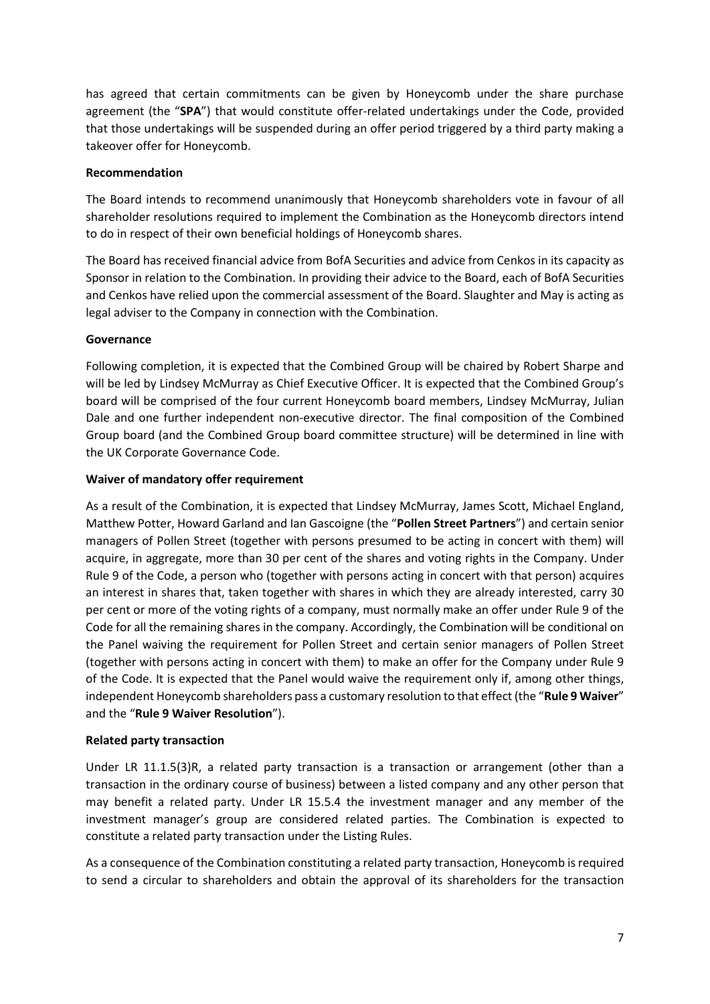has agreed that certain commitments can be given by Honeycomb under the share purchase agreement (the "**SPA**") that would constitute offer-related undertakings under the Code, provided that those undertakings will be suspended during an offer period triggered by a third party making a takeover offer for Honeycomb.

# **Recommendation**

The Board intends to recommend unanimously that Honeycomb shareholders vote in favour of all shareholder resolutions required to implement the Combination as the Honeycomb directors intend to do in respect of their own beneficial holdings of Honeycomb shares.

The Board has received financial advice from BofA Securities and advice from Cenkos in its capacity as Sponsor in relation to the Combination. In providing their advice to the Board, each of BofA Securities and Cenkos have relied upon the commercial assessment of the Board. Slaughter and May is acting as legal adviser to the Company in connection with the Combination.

# **Governance**

Following completion, it is expected that the Combined Group will be chaired by Robert Sharpe and will be led by Lindsey McMurray as Chief Executive Officer. It is expected that the Combined Group's board will be comprised of the four current Honeycomb board members, Lindsey McMurray, Julian Dale and one further independent non-executive director. The final composition of the Combined Group board (and the Combined Group board committee structure) will be determined in line with the UK Corporate Governance Code.

# **Waiver of mandatory offer requirement**

As a result of the Combination, it is expected that Lindsey McMurray, James Scott, Michael England, Matthew Potter, Howard Garland and Ian Gascoigne (the "**Pollen Street Partners**") and certain senior managers of Pollen Street (together with persons presumed to be acting in concert with them) will acquire, in aggregate, more than 30 per cent of the shares and voting rights in the Company. Under Rule 9 of the Code, a person who (together with persons acting in concert with that person) acquires an interest in shares that, taken together with shares in which they are already interested, carry 30 per cent or more of the voting rights of a company, must normally make an offer under Rule 9 of the Code for all the remaining shares in the company. Accordingly, the Combination will be conditional on the Panel waiving the requirement for Pollen Street and certain senior managers of Pollen Street (together with persons acting in concert with them) to make an offer for the Company under Rule 9 of the Code. It is expected that the Panel would waive the requirement only if, among other things, independent Honeycomb shareholders pass a customary resolution to that effect (the "**Rule 9 Waiver**" and the "**Rule 9 Waiver Resolution**").

# **Related party transaction**

Under LR 11.1.5(3)R, a related party transaction is a transaction or arrangement (other than a transaction in the ordinary course of business) between a listed company and any other person that may benefit a related party. Under LR 15.5.4 the investment manager and any member of the investment manager's group are considered related parties. The Combination is expected to constitute a related party transaction under the Listing Rules.

As a consequence of the Combination constituting a related party transaction, Honeycomb is required to send a circular to shareholders and obtain the approval of its shareholders for the transaction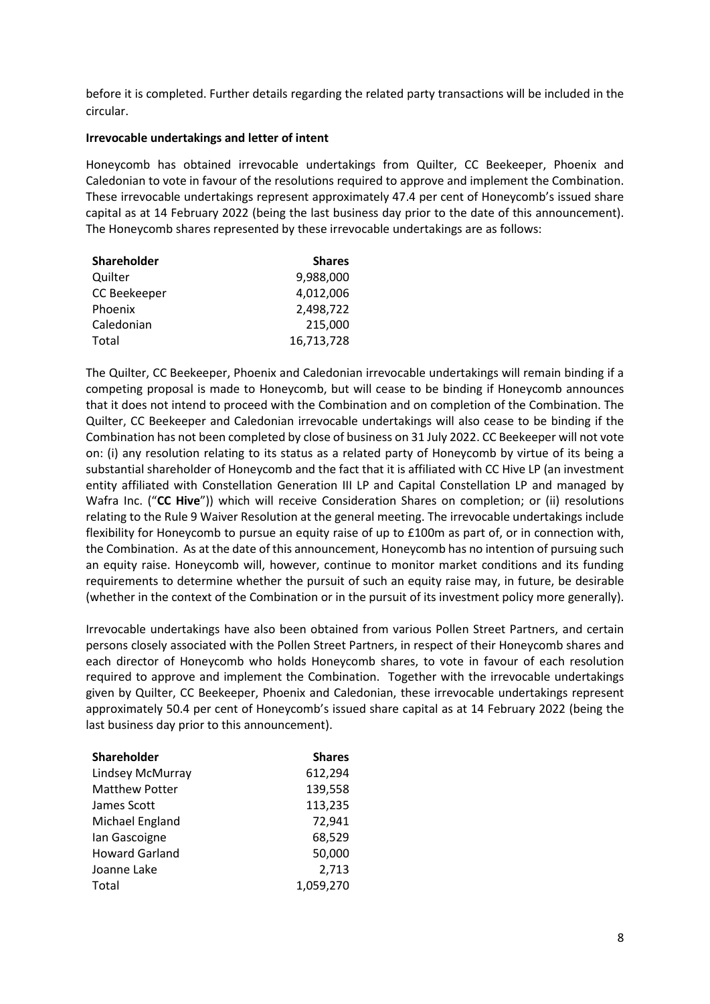before it is completed. Further details regarding the related party transactions will be included in the circular.

#### **Irrevocable undertakings and letter of intent**

Honeycomb has obtained irrevocable undertakings from Quilter, CC Beekeeper, Phoenix and Caledonian to vote in favour of the resolutions required to approve and implement the Combination. These irrevocable undertakings represent approximately 47.4 per cent of Honeycomb's issued share capital as at 14 February 2022 (being the last business day prior to the date of this announcement). The Honeycomb shares represented by these irrevocable undertakings are as follows:

| <b>Shares</b> |
|---------------|
| 9,988,000     |
| 4,012,006     |
| 2,498,722     |
| 215,000       |
| 16,713,728    |
|               |

The Quilter, CC Beekeeper, Phoenix and Caledonian irrevocable undertakings will remain binding if a competing proposal is made to Honeycomb, but will cease to be binding if Honeycomb announces that it does not intend to proceed with the Combination and on completion of the Combination. The Quilter, CC Beekeeper and Caledonian irrevocable undertakings will also cease to be binding if the Combination has not been completed by close of business on 31 July 2022. CC Beekeeper will not vote on: (i) any resolution relating to its status as a related party of Honeycomb by virtue of its being a substantial shareholder of Honeycomb and the fact that it is affiliated with CC Hive LP (an investment entity affiliated with Constellation Generation III LP and Capital Constellation LP and managed by Wafra Inc. ("**CC Hive**")) which will receive Consideration Shares on completion; or (ii) resolutions relating to the Rule 9 Waiver Resolution at the general meeting. The irrevocable undertakings include flexibility for Honeycomb to pursue an equity raise of up to £100m as part of, or in connection with, the Combination. As at the date of this announcement, Honeycomb has no intention of pursuing such an equity raise. Honeycomb will, however, continue to monitor market conditions and its funding requirements to determine whether the pursuit of such an equity raise may, in future, be desirable (whether in the context of the Combination or in the pursuit of its investment policy more generally).

Irrevocable undertakings have also been obtained from various Pollen Street Partners, and certain persons closely associated with the Pollen Street Partners, in respect of their Honeycomb shares and each director of Honeycomb who holds Honeycomb shares, to vote in favour of each resolution required to approve and implement the Combination. Together with the irrevocable undertakings given by Quilter, CC Beekeeper, Phoenix and Caledonian, these irrevocable undertakings represent approximately 50.4 per cent of Honeycomb's issued share capital as at 14 February 2022 (being the last business day prior to this announcement).

| <b>Shareholder</b>    | <b>Shares</b> |
|-----------------------|---------------|
| Lindsey McMurray      | 612,294       |
| <b>Matthew Potter</b> | 139,558       |
| James Scott           | 113,235       |
| Michael England       | 72,941        |
| lan Gascoigne         | 68,529        |
| <b>Howard Garland</b> | 50,000        |
| Joanne Lake           | 2,713         |
| Total                 | 1,059,270     |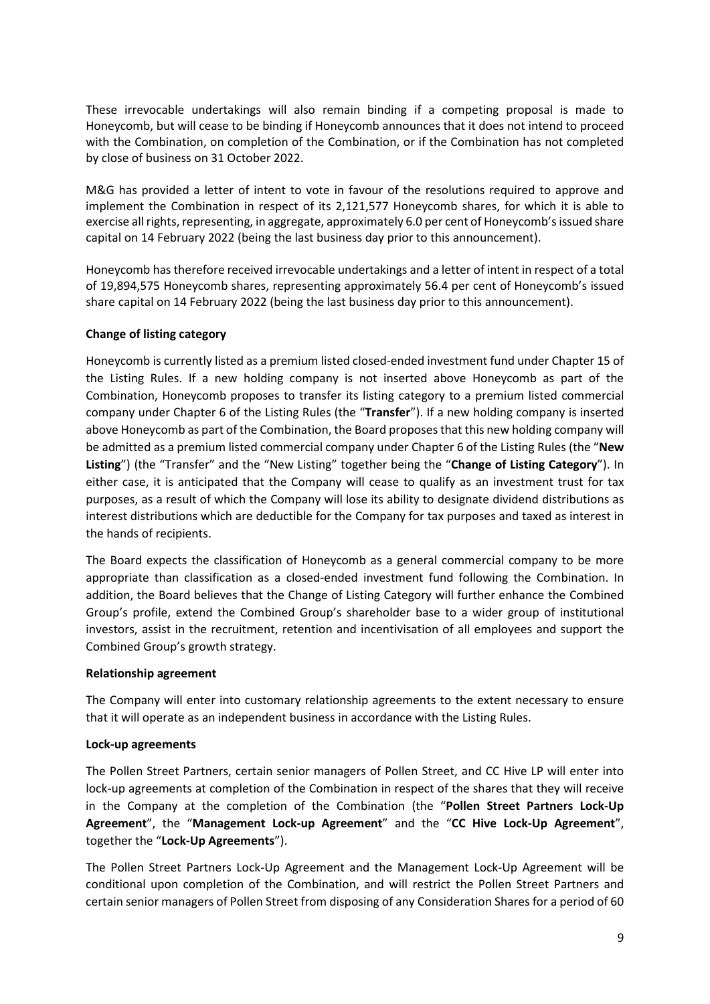These irrevocable undertakings will also remain binding if a competing proposal is made to Honeycomb, but will cease to be binding if Honeycomb announces that it does not intend to proceed with the Combination, on completion of the Combination, or if the Combination has not completed by close of business on 31 October 2022.

M&G has provided a letter of intent to vote in favour of the resolutions required to approve and implement the Combination in respect of its 2,121,577 Honeycomb shares, for which it is able to exercise all rights, representing, in aggregate, approximately 6.0 per cent of Honeycomb's issued share capital on 14 February 2022 (being the last business day prior to this announcement).

Honeycomb has therefore received irrevocable undertakings and a letter of intent in respect of a total of 19,894,575 Honeycomb shares, representing approximately 56.4 per cent of Honeycomb's issued share capital on 14 February 2022 (being the last business day prior to this announcement).

# **Change of listing category**

Honeycomb is currently listed as a premium listed closed-ended investment fund under Chapter 15 of the Listing Rules. If a new holding company is not inserted above Honeycomb as part of the Combination, Honeycomb proposes to transfer its listing category to a premium listed commercial company under Chapter 6 of the Listing Rules (the "**Transfer**"). If a new holding company is inserted above Honeycomb as part of the Combination, the Board proposes that this new holding company will be admitted as a premium listed commercial company under Chapter 6 of the Listing Rules (the "**New Listing**") (the "Transfer" and the "New Listing" together being the "**Change of Listing Category**"). In either case, it is anticipated that the Company will cease to qualify as an investment trust for tax purposes, as a result of which the Company will lose its ability to designate dividend distributions as interest distributions which are deductible for the Company for tax purposes and taxed as interest in the hands of recipients.

The Board expects the classification of Honeycomb as a general commercial company to be more appropriate than classification as a closed-ended investment fund following the Combination. In addition, the Board believes that the Change of Listing Category will further enhance the Combined Group's profile, extend the Combined Group's shareholder base to a wider group of institutional investors, assist in the recruitment, retention and incentivisation of all employees and support the Combined Group's growth strategy.

## **Relationship agreement**

The Company will enter into customary relationship agreements to the extent necessary to ensure that it will operate as an independent business in accordance with the Listing Rules.

## **Lock-up agreements**

The Pollen Street Partners, certain senior managers of Pollen Street, and CC Hive LP will enter into lock-up agreements at completion of the Combination in respect of the shares that they will receive in the Company at the completion of the Combination (the "**Pollen Street Partners Lock-Up Agreement**", the "**Management Lock-up Agreement**" and the "**CC Hive Lock-Up Agreement**", together the "**Lock-Up Agreements**").

The Pollen Street Partners Lock-Up Agreement and the Management Lock-Up Agreement will be conditional upon completion of the Combination, and will restrict the Pollen Street Partners and certain senior managers of Pollen Street from disposing of any Consideration Shares for a period of 60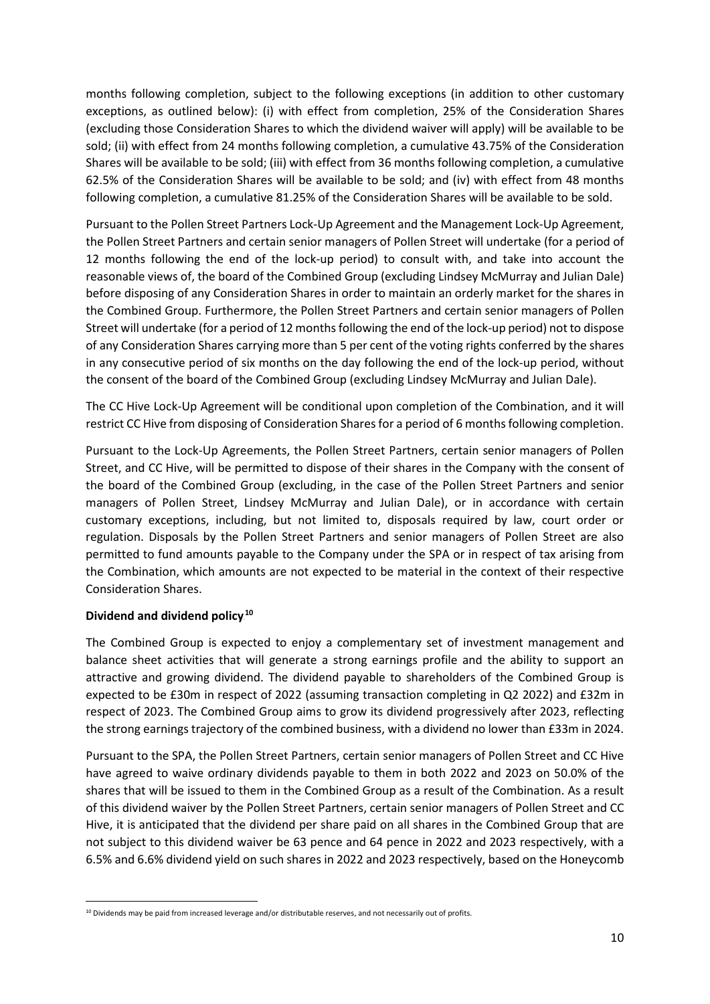months following completion, subject to the following exceptions (in addition to other customary exceptions, as outlined below): (i) with effect from completion, 25% of the Consideration Shares (excluding those Consideration Shares to which the dividend waiver will apply) will be available to be sold; (ii) with effect from 24 months following completion, a cumulative 43.75% of the Consideration Shares will be available to be sold; (iii) with effect from 36 months following completion, a cumulative 62.5% of the Consideration Shares will be available to be sold; and (iv) with effect from 48 months following completion, a cumulative 81.25% of the Consideration Shares will be available to be sold.

Pursuant to the Pollen Street Partners Lock-Up Agreement and the Management Lock-Up Agreement, the Pollen Street Partners and certain senior managers of Pollen Street will undertake (for a period of 12 months following the end of the lock-up period) to consult with, and take into account the reasonable views of, the board of the Combined Group (excluding Lindsey McMurray and Julian Dale) before disposing of any Consideration Shares in order to maintain an orderly market for the shares in the Combined Group. Furthermore, the Pollen Street Partners and certain senior managers of Pollen Street will undertake (for a period of 12 months following the end of the lock-up period) not to dispose of any Consideration Shares carrying more than 5 per cent of the voting rights conferred by the shares in any consecutive period of six months on the day following the end of the lock-up period, without the consent of the board of the Combined Group (excluding Lindsey McMurray and Julian Dale).

The CC Hive Lock-Up Agreement will be conditional upon completion of the Combination, and it will restrict CC Hive from disposing of Consideration Shares for a period of 6 months following completion.

Pursuant to the Lock-Up Agreements, the Pollen Street Partners, certain senior managers of Pollen Street, and CC Hive, will be permitted to dispose of their shares in the Company with the consent of the board of the Combined Group (excluding, in the case of the Pollen Street Partners and senior managers of Pollen Street, Lindsey McMurray and Julian Dale), or in accordance with certain customary exceptions, including, but not limited to, disposals required by law, court order or regulation. Disposals by the Pollen Street Partners and senior managers of Pollen Street are also permitted to fund amounts payable to the Company under the SPA or in respect of tax arising from the Combination, which amounts are not expected to be material in the context of their respective Consideration Shares.

# **Dividend and dividend policy.<sup>10</sup>**

The Combined Group is expected to enjoy a complementary set of investment management and balance sheet activities that will generate a strong earnings profile and the ability to support an attractive and growing dividend. The dividend payable to shareholders of the Combined Group is expected to be £30m in respect of 2022 (assuming transaction completing in Q2 2022) and £32m in respect of 2023. The Combined Group aims to grow its dividend progressively after 2023, reflecting the strong earnings trajectory of the combined business, with a dividend no lower than £33m in 2024.

Pursuant to the SPA, the Pollen Street Partners, certain senior managers of Pollen Street and CC Hive have agreed to waive ordinary dividends payable to them in both 2022 and 2023 on 50.0% of the shares that will be issued to them in the Combined Group as a result of the Combination. As a result of this dividend waiver by the Pollen Street Partners, certain senior managers of Pollen Street and CC Hive, it is anticipated that the dividend per share paid on all shares in the Combined Group that are not subject to this dividend waiver be 63 pence and 64 pence in 2022 and 2023 respectively, with a 6.5% and 6.6% dividend yield on such shares in 2022 and 2023 respectively, based on the Honeycomb

<sup>&</sup>lt;sup>10</sup> Dividends may be paid from increased leverage and/or distributable reserves, and not necessarily out of profits.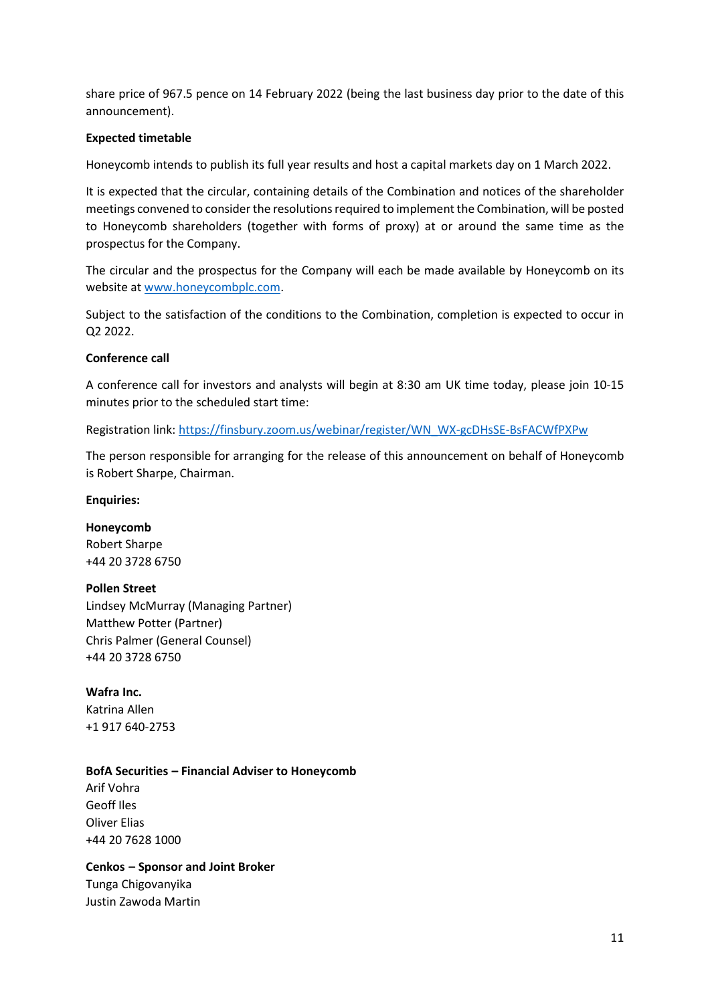share price of 967.5 pence on 14 February 2022 (being the last business day prior to the date of this announcement).

# **Expected timetable**

Honeycomb intends to publish its full year results and host a capital markets day on 1 March 2022.

It is expected that the circular, containing details of the Combination and notices of the shareholder meetings convened to consider the resolutions required to implement the Combination, will be posted to Honeycomb shareholders (together with forms of proxy) at or around the same time as the prospectus for the Company.

The circular and the prospectus for the Company will each be made available by Honeycomb on its website at www.honeycombplc.com.

Subject to the satisfaction of the conditions to the Combination, completion is expected to occur in Q2 2022.

## **Conference call**

A conference call for investors and analysts will begin at 8:30 am UK time today, please join 10-15 minutes prior to the scheduled start time:

Registration link: https://finsbury.zoom.us/webinar/register/WN\_WX-gcDHsSE-BsFACWfPXPw

The person responsible for arranging for the release of this announcement on behalf of Honeycomb is Robert Sharpe, Chairman.

## **Enquiries:**

**Honeycomb**  Robert Sharpe +44 20 3728 6750

## **Pollen Street**

Lindsey McMurray (Managing Partner) Matthew Potter (Partner) Chris Palmer (General Counsel) +44 20 3728 6750

# **Wafra Inc.**

Katrina Allen +1 917 640-2753

## **BofA Securities – Financial Adviser to Honeycomb**

Arif Vohra Geoff Iles Oliver Elias +44 20 7628 1000

# **Cenkos – Sponsor and Joint Broker**

Tunga Chigovanyika Justin Zawoda Martin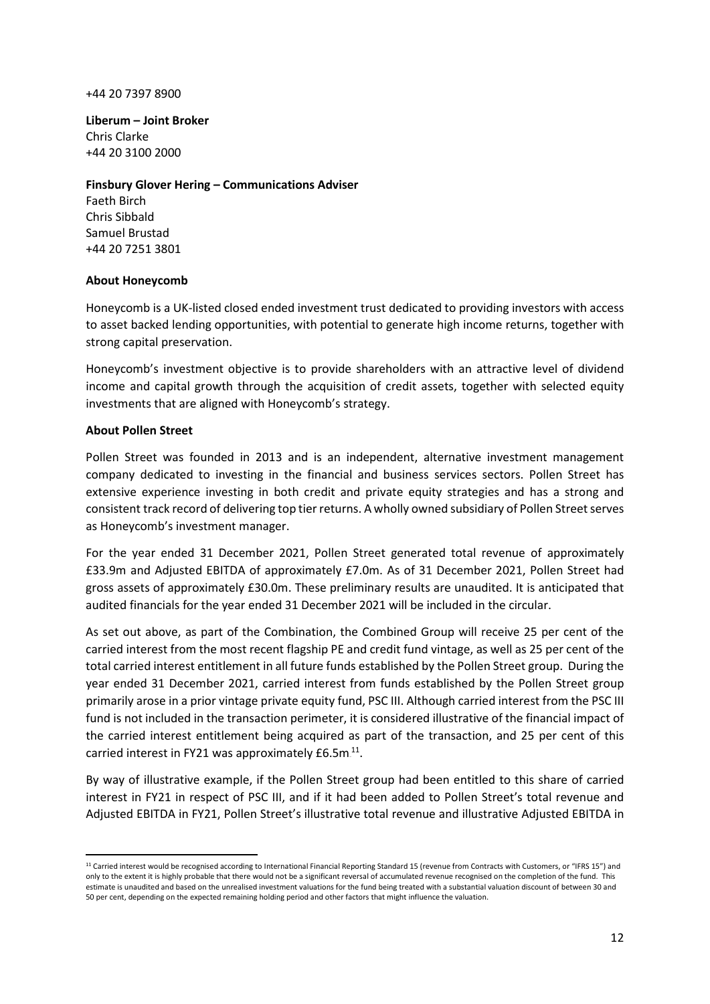#### +44 20 7397 8900

**Liberum – Joint Broker** Chris Clarke +44 20 3100 2000

## **Finsbury Glover Hering – Communications Adviser**

Faeth Birch Chris Sibbald Samuel Brustad +44 20 7251 3801

# **About Honeycomb**

Honeycomb is a UK-listed closed ended investment trust dedicated to providing investors with access to asset backed lending opportunities, with potential to generate high income returns, together with strong capital preservation.

Honeycomb's investment objective is to provide shareholders with an attractive level of dividend income and capital growth through the acquisition of credit assets, together with selected equity investments that are aligned with Honeycomb's strategy.

# **About Pollen Street**

Pollen Street was founded in 2013 and is an independent, alternative investment management company dedicated to investing in the financial and business services sectors. Pollen Street has extensive experience investing in both credit and private equity strategies and has a strong and consistent track record of delivering top tier returns. A wholly owned subsidiary of Pollen Street serves as Honeycomb's investment manager.

For the year ended 31 December 2021, Pollen Street generated total revenue of approximately £33.9m and Adjusted EBITDA of approximately £7.0m. As of 31 December 2021, Pollen Street had gross assets of approximately £30.0m. These preliminary results are unaudited. It is anticipated that audited financials for the year ended 31 December 2021 will be included in the circular.

As set out above, as part of the Combination, the Combined Group will receive 25 per cent of the carried interest from the most recent flagship PE and credit fund vintage, as well as 25 per cent of the total carried interest entitlement in all future funds established by the Pollen Street group. During the year ended 31 December 2021, carried interest from funds established by the Pollen Street group primarily arose in a prior vintage private equity fund, PSC III. Although carried interest from the PSC III fund is not included in the transaction perimeter, it is considered illustrative of the financial impact of the carried interest entitlement being acquired as part of the transaction, and 25 per cent of this carried interest in FY21 was approximately  $£6.5m<sup>11</sup>$ .

By way of illustrative example, if the Pollen Street group had been entitled to this share of carried interest in FY21 in respect of PSC III, and if it had been added to Pollen Street's total revenue and Adjusted EBITDA in FY21, Pollen Street's illustrative total revenue and illustrative Adjusted EBITDA in

 <sup>11</sup> Carried interest would be recognised according to International Financial Reporting Standard 15 (revenue from Contracts with Customers, or "IFRS 15") and only to the extent it is highly probable that there would not be a significant reversal of accumulated revenue recognised on the completion of the fund. This estimate is unaudited and based on the unrealised investment valuations for the fund being treated with a substantial valuation discount of between 30 and 50 per cent, depending on the expected remaining holding period and other factors that might influence the valuation.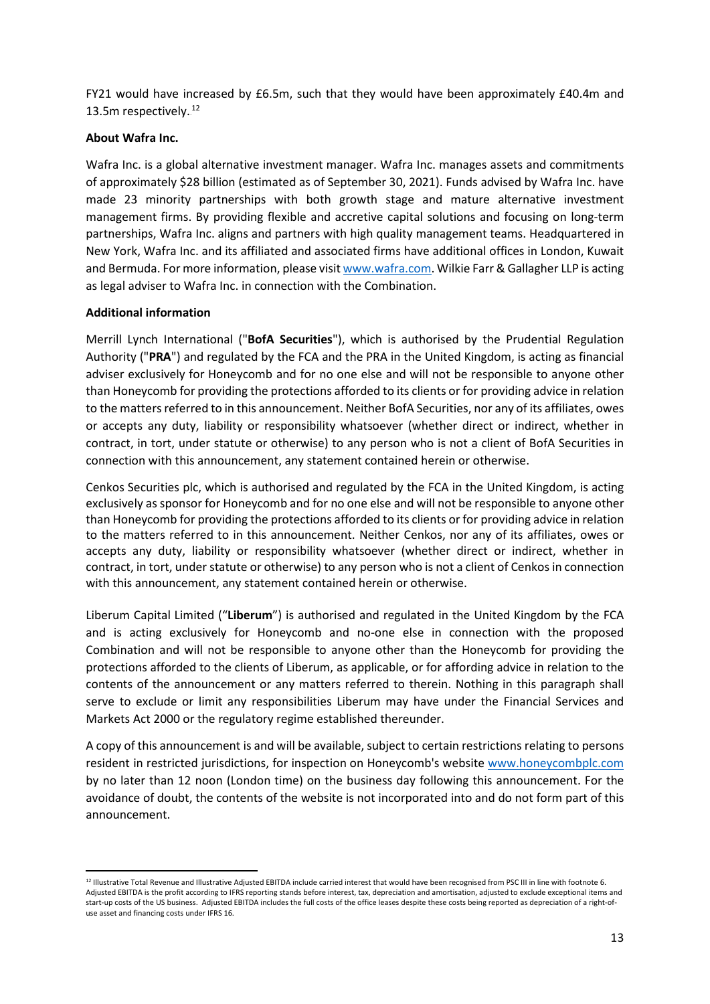FY21 would have increased by £6.5m, such that they would have been approximately £40.4m and 13.5m respectively.<sup>12</sup>

## **About Wafra Inc.**

Wafra Inc. is a global alternative investment manager. Wafra Inc. manages assets and commitments of approximately \$28 billion (estimated as of September 30, 2021). Funds advised by Wafra Inc. have made 23 minority partnerships with both growth stage and mature alternative investment management firms. By providing flexible and accretive capital solutions and focusing on long-term partnerships, Wafra Inc. aligns and partners with high quality management teams. Headquartered in New York, Wafra Inc. and its affiliated and associated firms have additional offices in London, Kuwait and Bermuda. For more information, please visit www.wafra.com. Wilkie Farr & Gallagher LLP is acting as legal adviser to Wafra Inc. in connection with the Combination.

# **Additional information**

Merrill Lynch International ("**BofA Securities**"), which is authorised by the Prudential Regulation Authority ("**PRA**") and regulated by the FCA and the PRA in the United Kingdom, is acting as financial adviser exclusively for Honeycomb and for no one else and will not be responsible to anyone other than Honeycomb for providing the protections afforded to its clients or for providing advice in relation to the matters referred to in this announcement. Neither BofA Securities, nor any of its affiliates, owes or accepts any duty, liability or responsibility whatsoever (whether direct or indirect, whether in contract, in tort, under statute or otherwise) to any person who is not a client of BofA Securities in connection with this announcement, any statement contained herein or otherwise.

Cenkos Securities plc, which is authorised and regulated by the FCA in the United Kingdom, is acting exclusively as sponsor for Honeycomb and for no one else and will not be responsible to anyone other than Honeycomb for providing the protections afforded to its clients or for providing advice in relation to the matters referred to in this announcement. Neither Cenkos, nor any of its affiliates, owes or accepts any duty, liability or responsibility whatsoever (whether direct or indirect, whether in contract, in tort, under statute or otherwise) to any person who is not a client of Cenkos in connection with this announcement, any statement contained herein or otherwise.

Liberum Capital Limited ("**Liberum**") is authorised and regulated in the United Kingdom by the FCA and is acting exclusively for Honeycomb and no-one else in connection with the proposed Combination and will not be responsible to anyone other than the Honeycomb for providing the protections afforded to the clients of Liberum, as applicable, or for affording advice in relation to the contents of the announcement or any matters referred to therein. Nothing in this paragraph shall serve to exclude or limit any responsibilities Liberum may have under the Financial Services and Markets Act 2000 or the regulatory regime established thereunder.

A copy of this announcement is and will be available, subject to certain restrictions relating to persons resident in restricted jurisdictions, for inspection on Honeycomb's website www.honeycombplc.com by no later than 12 noon (London time) on the business day following this announcement. For the avoidance of doubt, the contents of the website is not incorporated into and do not form part of this announcement.

<sup>12</sup> Illustrative Total Revenue and Illustrative Adjusted EBITDA include carried interest that would have been recognised from PSC III in line with footnote 6. Adjusted EBITDA is the profit according to IFRS reporting stands before interest, tax, depreciation and amortisation, adjusted to exclude exceptional items and start-up costs of the US business. Adjusted EBITDA includes the full costs of the office leases despite these costs being reported as depreciation of a right-ofuse asset and financing costs under IFRS 16.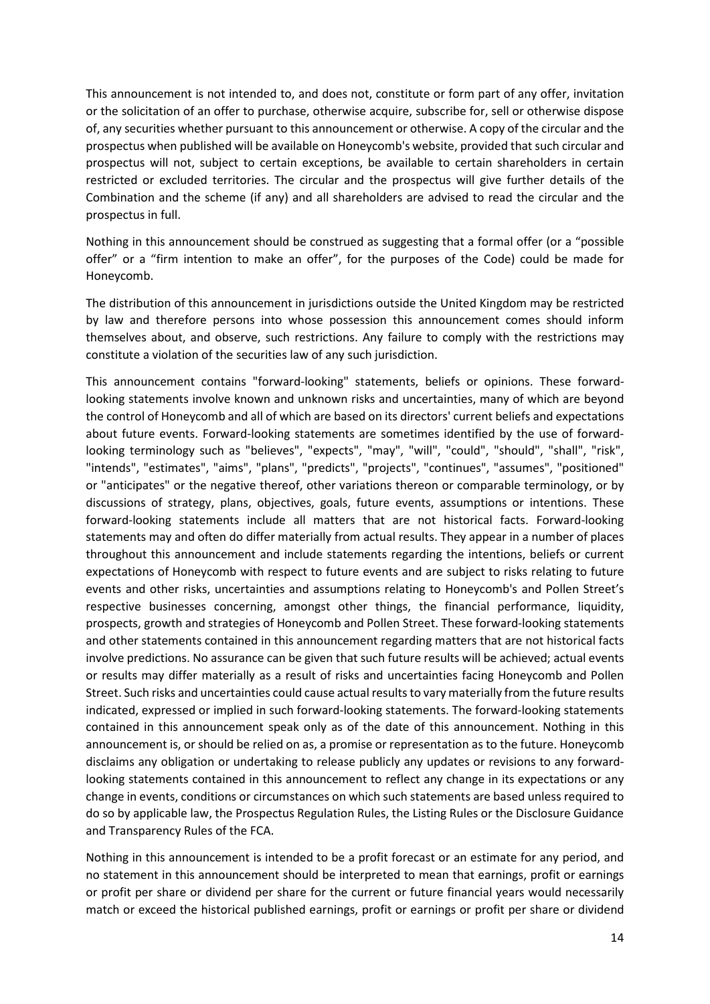This announcement is not intended to, and does not, constitute or form part of any offer, invitation or the solicitation of an offer to purchase, otherwise acquire, subscribe for, sell or otherwise dispose of, any securities whether pursuant to this announcement or otherwise. A copy of the circular and the prospectus when published will be available on Honeycomb's website, provided that such circular and prospectus will not, subject to certain exceptions, be available to certain shareholders in certain restricted or excluded territories. The circular and the prospectus will give further details of the Combination and the scheme (if any) and all shareholders are advised to read the circular and the prospectus in full.

Nothing in this announcement should be construed as suggesting that a formal offer (or a "possible offer" or a "firm intention to make an offer", for the purposes of the Code) could be made for Honeycomb.

The distribution of this announcement in jurisdictions outside the United Kingdom may be restricted by law and therefore persons into whose possession this announcement comes should inform themselves about, and observe, such restrictions. Any failure to comply with the restrictions may constitute a violation of the securities law of any such jurisdiction.

This announcement contains "forward-looking" statements, beliefs or opinions. These forwardlooking statements involve known and unknown risks and uncertainties, many of which are beyond the control of Honeycomb and all of which are based on its directors' current beliefs and expectations about future events. Forward-looking statements are sometimes identified by the use of forwardlooking terminology such as "believes", "expects", "may", "will", "could", "should", "shall", "risk", "intends", "estimates", "aims", "plans", "predicts", "projects", "continues", "assumes", "positioned" or "anticipates" or the negative thereof, other variations thereon or comparable terminology, or by discussions of strategy, plans, objectives, goals, future events, assumptions or intentions. These forward-looking statements include all matters that are not historical facts. Forward-looking statements may and often do differ materially from actual results. They appear in a number of places throughout this announcement and include statements regarding the intentions, beliefs or current expectations of Honeycomb with respect to future events and are subject to risks relating to future events and other risks, uncertainties and assumptions relating to Honeycomb's and Pollen Street's respective businesses concerning, amongst other things, the financial performance, liquidity, prospects, growth and strategies of Honeycomb and Pollen Street. These forward-looking statements and other statements contained in this announcement regarding matters that are not historical facts involve predictions. No assurance can be given that such future results will be achieved; actual events or results may differ materially as a result of risks and uncertainties facing Honeycomb and Pollen Street. Such risks and uncertainties could cause actual results to vary materially from the future results indicated, expressed or implied in such forward-looking statements. The forward-looking statements contained in this announcement speak only as of the date of this announcement. Nothing in this announcement is, or should be relied on as, a promise or representation as to the future. Honeycomb disclaims any obligation or undertaking to release publicly any updates or revisions to any forwardlooking statements contained in this announcement to reflect any change in its expectations or any change in events, conditions or circumstances on which such statements are based unless required to do so by applicable law, the Prospectus Regulation Rules, the Listing Rules or the Disclosure Guidance and Transparency Rules of the FCA.

Nothing in this announcement is intended to be a profit forecast or an estimate for any period, and no statement in this announcement should be interpreted to mean that earnings, profit or earnings or profit per share or dividend per share for the current or future financial years would necessarily match or exceed the historical published earnings, profit or earnings or profit per share or dividend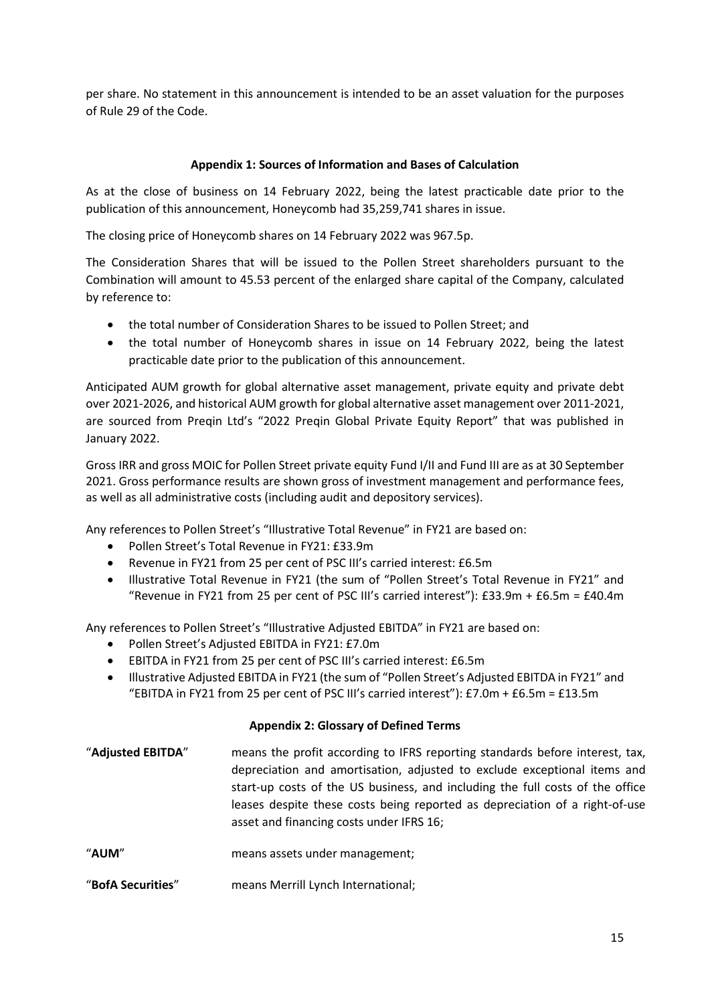per share. No statement in this announcement is intended to be an asset valuation for the purposes of Rule 29 of the Code.

# **Appendix 1: Sources of Information and Bases of Calculation**

As at the close of business on 14 February 2022, being the latest practicable date prior to the publication of this announcement, Honeycomb had 35,259,741 shares in issue.

The closing price of Honeycomb shares on 14 February 2022 was 967.5p.

The Consideration Shares that will be issued to the Pollen Street shareholders pursuant to the Combination will amount to 45.53 percent of the enlarged share capital of the Company, calculated by reference to:

- the total number of Consideration Shares to be issued to Pollen Street; and
- the total number of Honeycomb shares in issue on 14 February 2022, being the latest practicable date prior to the publication of this announcement.

Anticipated AUM growth for global alternative asset management, private equity and private debt over 2021-2026, and historical AUM growth for global alternative asset management over 2011-2021, are sourced from Preqin Ltd's "2022 Preqin Global Private Equity Report" that was published in January 2022.

Gross IRR and gross MOIC for Pollen Street private equity Fund I/II and Fund III are as at 30 September 2021. Gross performance results are shown gross of investment management and performance fees, as well as all administrative costs (including audit and depository services).

Any references to Pollen Street's "Illustrative Total Revenue" in FY21 are based on:

- Pollen Street's Total Revenue in FY21: £33.9m
- Revenue in FY21 from 25 per cent of PSC III's carried interest: £6.5m
- Illustrative Total Revenue in FY21 (the sum of "Pollen Street's Total Revenue in FY21" and "Revenue in FY21 from 25 per cent of PSC III's carried interest"):  $£33.9m + £6.5m = £40.4m$

Any references to Pollen Street's "Illustrative Adjusted EBITDA" in FY21 are based on:

- Pollen Street's Adjusted EBITDA in FY21: £7.0m
- EBITDA in FY21 from 25 per cent of PSC III's carried interest: £6.5m
- Illustrative Adjusted EBITDA in FY21 (the sum of "Pollen Street's Adjusted EBITDA in FY21" and "EBITDA in FY21 from 25 per cent of PSC III's carried interest"):  $£7.0m + £6.5m = £13.5m$

# **Appendix 2: Glossary of Defined Terms**

| "Adjusted EBITDA" | means the profit according to IFRS reporting standards before interest, tax,<br>depreciation and amortisation, adjusted to exclude exceptional items and<br>start-up costs of the US business, and including the full costs of the office<br>leases despite these costs being reported as depreciation of a right-of-use<br>asset and financing costs under IFRS 16; |
|-------------------|----------------------------------------------------------------------------------------------------------------------------------------------------------------------------------------------------------------------------------------------------------------------------------------------------------------------------------------------------------------------|
| $11 - 12 - 11$    |                                                                                                                                                                                                                                                                                                                                                                      |

- "**AUM**" means assets under management;
- "**BofA Securities**" means Merrill Lynch International;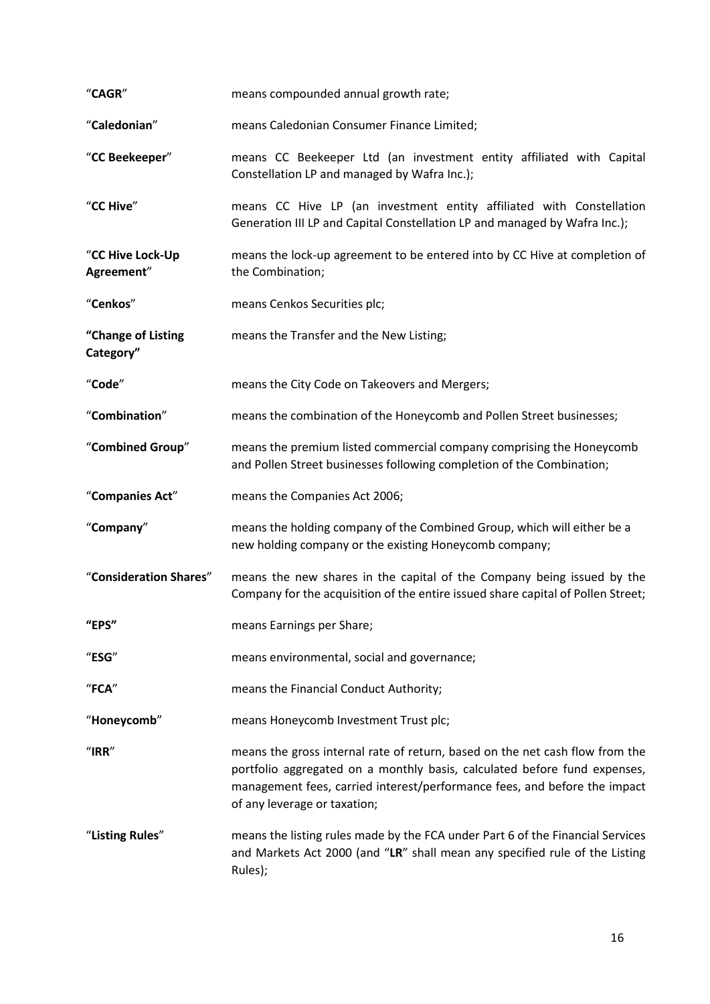| "CAGR"                          | means compounded annual growth rate;                                                                                                                                                                                                                                   |
|---------------------------------|------------------------------------------------------------------------------------------------------------------------------------------------------------------------------------------------------------------------------------------------------------------------|
| "Caledonian"                    | means Caledonian Consumer Finance Limited;                                                                                                                                                                                                                             |
| "CC Beekeeper"                  | means CC Beekeeper Ltd (an investment entity affiliated with Capital<br>Constellation LP and managed by Wafra Inc.);                                                                                                                                                   |
| "CC Hive"                       | means CC Hive LP (an investment entity affiliated with Constellation<br>Generation III LP and Capital Constellation LP and managed by Wafra Inc.);                                                                                                                     |
| "CC Hive Lock-Up<br>Agreement"  | means the lock-up agreement to be entered into by CC Hive at completion of<br>the Combination;                                                                                                                                                                         |
| "Cenkos"                        | means Cenkos Securities plc;                                                                                                                                                                                                                                           |
| "Change of Listing<br>Category" | means the Transfer and the New Listing;                                                                                                                                                                                                                                |
| "Code"                          | means the City Code on Takeovers and Mergers;                                                                                                                                                                                                                          |
| "Combination"                   | means the combination of the Honeycomb and Pollen Street businesses;                                                                                                                                                                                                   |
| "Combined Group"                | means the premium listed commercial company comprising the Honeycomb<br>and Pollen Street businesses following completion of the Combination;                                                                                                                          |
| "Companies Act"                 | means the Companies Act 2006;                                                                                                                                                                                                                                          |
| "Company"                       | means the holding company of the Combined Group, which will either be a<br>new holding company or the existing Honeycomb company;                                                                                                                                      |
| "Consideration Shares"          | means the new shares in the capital of the Company being issued by the<br>Company for the acquisition of the entire issued share capital of Pollen Street;                                                                                                             |
| "EPS"                           | means Earnings per Share;                                                                                                                                                                                                                                              |
| "ESG"                           | means environmental, social and governance;                                                                                                                                                                                                                            |
| "FCA"                           | means the Financial Conduct Authority;                                                                                                                                                                                                                                 |
| "Honeycomb"                     | means Honeycomb Investment Trust plc;                                                                                                                                                                                                                                  |
| " $IRR"$                        | means the gross internal rate of return, based on the net cash flow from the<br>portfolio aggregated on a monthly basis, calculated before fund expenses,<br>management fees, carried interest/performance fees, and before the impact<br>of any leverage or taxation; |
| "Listing Rules"                 | means the listing rules made by the FCA under Part 6 of the Financial Services<br>and Markets Act 2000 (and "LR" shall mean any specified rule of the Listing<br>Rules);                                                                                               |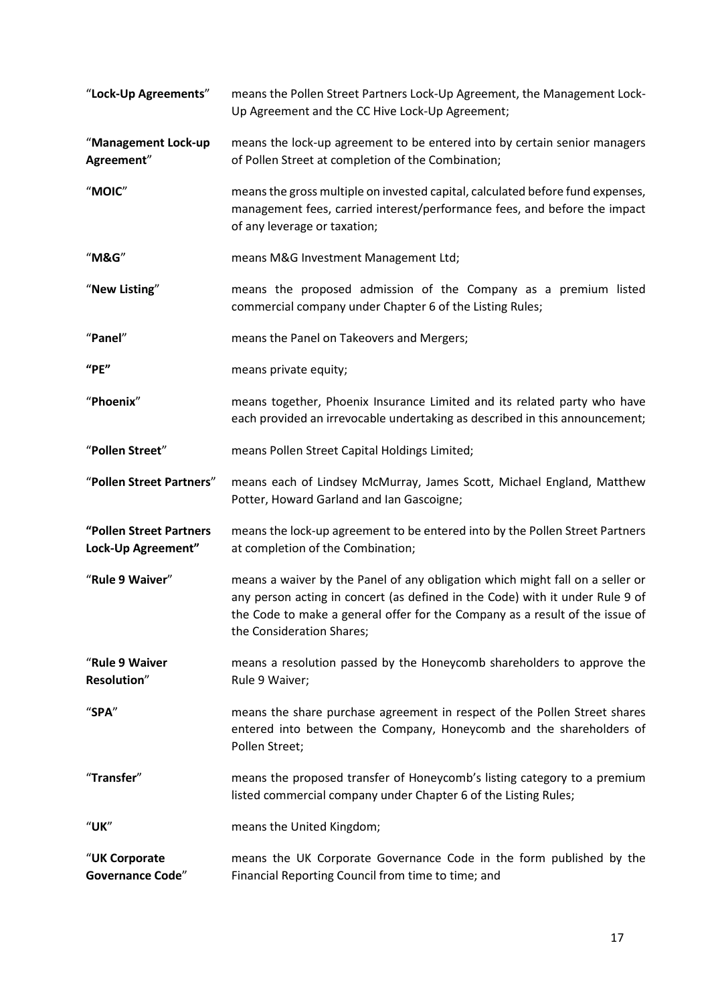| "Lock-Up Agreements"                          | means the Pollen Street Partners Lock-Up Agreement, the Management Lock-<br>Up Agreement and the CC Hive Lock-Up Agreement;                                                                                                                                                 |
|-----------------------------------------------|-----------------------------------------------------------------------------------------------------------------------------------------------------------------------------------------------------------------------------------------------------------------------------|
| "Management Lock-up<br>Agreement"             | means the lock-up agreement to be entered into by certain senior managers<br>of Pollen Street at completion of the Combination;                                                                                                                                             |
| "MOIC"                                        | means the gross multiple on invested capital, calculated before fund expenses,<br>management fees, carried interest/performance fees, and before the impact<br>of any leverage or taxation;                                                                                 |
| "M&G"                                         | means M&G Investment Management Ltd;                                                                                                                                                                                                                                        |
| "New Listing"                                 | means the proposed admission of the Company as a premium listed<br>commercial company under Chapter 6 of the Listing Rules;                                                                                                                                                 |
| "Panel"                                       | means the Panel on Takeovers and Mergers;                                                                                                                                                                                                                                   |
| "PE"                                          | means private equity;                                                                                                                                                                                                                                                       |
| "Phoenix"                                     | means together, Phoenix Insurance Limited and its related party who have<br>each provided an irrevocable undertaking as described in this announcement;                                                                                                                     |
| "Pollen Street"                               | means Pollen Street Capital Holdings Limited;                                                                                                                                                                                                                               |
| "Pollen Street Partners"                      | means each of Lindsey McMurray, James Scott, Michael England, Matthew<br>Potter, Howard Garland and Ian Gascoigne;                                                                                                                                                          |
| "Pollen Street Partners<br>Lock-Up Agreement" | means the lock-up agreement to be entered into by the Pollen Street Partners<br>at completion of the Combination;                                                                                                                                                           |
| "Rule 9 Waiver"                               | means a waiver by the Panel of any obligation which might fall on a seller or<br>any person acting in concert (as defined in the Code) with it under Rule 9 of<br>the Code to make a general offer for the Company as a result of the issue of<br>the Consideration Shares; |
| "Rule 9 Waiver<br>Resolution"                 | means a resolution passed by the Honeycomb shareholders to approve the<br>Rule 9 Waiver;                                                                                                                                                                                    |
| "SPA"                                         | means the share purchase agreement in respect of the Pollen Street shares<br>entered into between the Company, Honeycomb and the shareholders of<br>Pollen Street;                                                                                                          |
| "Transfer"                                    | means the proposed transfer of Honeycomb's listing category to a premium<br>listed commercial company under Chapter 6 of the Listing Rules;                                                                                                                                 |
| <b>"UK"</b>                                   | means the United Kingdom;                                                                                                                                                                                                                                                   |
| "UK Corporate<br><b>Governance Code"</b>      | means the UK Corporate Governance Code in the form published by the<br>Financial Reporting Council from time to time; and                                                                                                                                                   |